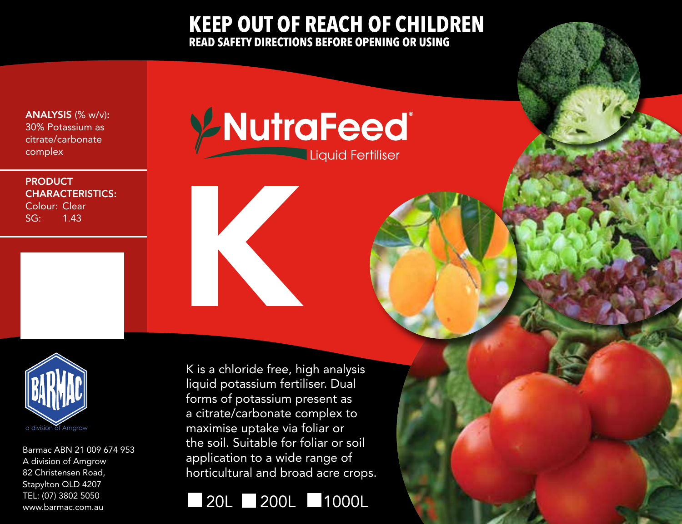## **KEEP OUT OF REACH OF CHILDREN READ SAFETY DIRECTIONS BEFORE OPENING OR USING**

ANALYSIS (% w/v): 30% Potassium as citrate/carbonate complex

## **PRODUCT** CHARACTERISTICS: Colour: Clear

SG: 1.43

YNutraFeed® Liquid Fertiliser



Barmac ABN 21 009 674 953 A division of Amgrow 82 Christensen Road, Stapylton QLD 4207 TEL: (07) 3802 5050 www.barmac.com.au

K is a chloride free, high analysis liquid potassium fertiliser. Dual forms of potassium present as a citrate/carbonate complex to maximise uptake via foliar or the soil. Suitable for foliar or soil application to a wide range of horticultural and broad acre crops.



K